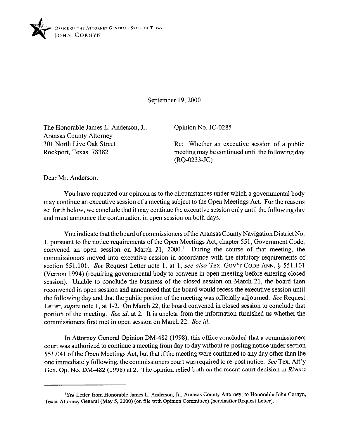

September 19,200O

The Honorable James L. Anderson, Jr. Aransas County Attorney 301 North Live Oak Street Rockport, Texas 78382

Opinion No. JC-0285

Re: Whether an executive session of a public meeting may be continued until the following day (RQ-0233-JC)

Dear Mr. Anderson:

You have requested our opinion as to the circumstances under which a governmental body may continue an executive session of a meeting subject to the Open Meetings Act. For the reasons set forth below, we conclude that it may continue the executive session only until the following day and must amrounce the continuation in open session on both days.

You indicate that the board of commissioners of the Aransas County Navigation District No. 1, pursuant to the notice requirements of the Open Meetings Act, chapter 551, Government Code, convened an open session on March 21, 2000.' During the course of that meeting, the commissioners moved into executive session in accordance with the statutory requirements of section 551.101. See Request Letter note 1, at 1; see also **TEX. GOV'T CODE** ANN. 5 551.101 (Vernon 1994) (requiring governmental body to convene in open meeting before entering closed session). Unable to conclude the business of the closed session on March 21, the board then reconvened in open session and announced that the board would recess the executive session until the following day and that the public portion of the meeting was officially adjourned. See Request Letter, *supra* note 1, at 1-2. On March 22, the board convened in closed session to conclude that portion of the meeting. See *id.* at 2. It is unclear from the information furnished us whether the commissioners first met in open session on March 22. See *id.* 

In Attorney General Opinion DM-482 (1998), this office concluded that a commissioners court was authorized to continue a meeting from day to day without re-posting notice under section 55 1.041 of the Open Meetings Act, but that if the meeting were continued to any day other than the one immediately following, the commissioners court was required to re-post notice. See Tex. Att'y Gen. Op. No. DM-482 (1998) at 2. The opinion relied both on the recent court decision in *Riven* 

<sup>&#</sup>x27;See Letter from Honorable James L. Anderson, Jr., Aransas County Attorney, to Honorable John Cornyn, Texas Attorney General (May 5,200O) (on tile with Opinion Committee) [hereinafter Request Letter].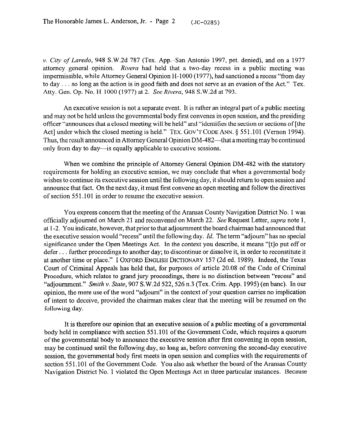v. *City of Laredo,* 948 S.W.2d 787 (Tex. App.San Antonio 1997, pet. denied), and on a 1977 attorney general opinion. *Rivera* had held that a two-day recess in a public meeting was impermissible, while Attorney General Opinion H-1000 (1977), had sanctioned a recess "from day to day  $\ldots$  so long as the action is in good faith and does not serve as an evasion of the Act." Tex. Atty. Gen. Op. No. H-1000 (1977) at 2. *SeeRivera, 948* S.W.2d at 793.

An executive session is not a separate event. It is rather an integral part of a public meeting and may not be held unless the governmental body first convenes in open session, and the presiding officer "announces that a closed meeting will be held" and "identifies the section or sections of [the Act] under which the closed meeting is held." TEX. GOV'T CODE ANN. § 551.101 (Vernon 1994). Thus, the result announced in Attorney General Opinion DM-482—that a meeting may be continued only from day to day—is equally applicable to executive sessions.

When we combine the principle of Attorney General Opinion DM-482 with the statutory requirements for holding an executive session, we may conclude that when a governmental body wishes to continue its executive session until the following day, it should return to open session and announce that fact. On the next day, it must first convene an open meeting and follow the directives of section 55 1.101 in order to resume the executive session.

You express concern that the meeting of the Aransas County Navigation District No. 1 was officially adjourned on March 21 and reconvened on March 22. See Request Letter, *supra* note 1, at l-2. You indicate, however, that prior to that adjournment the board chairman had announced that the executive session would "recess" until the following day. *Id.* The term "adjourn" has no special significance under the Open Meetings Act. In the context you describe, it means "[t]o put off or defer... further proceedings to another day; to discontinue or dissolve it, in order to reconstitute it at another time or place." I OXFORD ENGLISH DICTIONARY 157 (2d ed. 1989). Indeed, the Texas Court of Criminal Appeals has held that, for purposes of article 20.08 of the Code of Criminal Procedure, which relates to grand jury proceedings, there is no distinction between "recess" and "adjournment." *Smith v. State, 907 S.W.2d 522, 526 n.3 (Tex. Crim. App. 1995) (en bane).* In our opinion, the mere use of the word "adjourn" in the context of your question carries no implication of intent to deceive, provided the chairman makes clear that the meeting will be resumed on the following day.

It is therefore our opinion that an executive session of a public meeting of a governmental body held in compliance with section 55 1.101 of the Government Code, which requires a quorum of the governmental body to announce the executive session after first convening in open session, may be continued until the following day, so long as, before convening the second-day executive session, the governmental body first meets in open session and complies with the requirements of section 551.101 of the Government Code. You also ask whether the board of the Aransas County Navigation District No. 1 violated the Open Meetings Act in three particular instances. Because